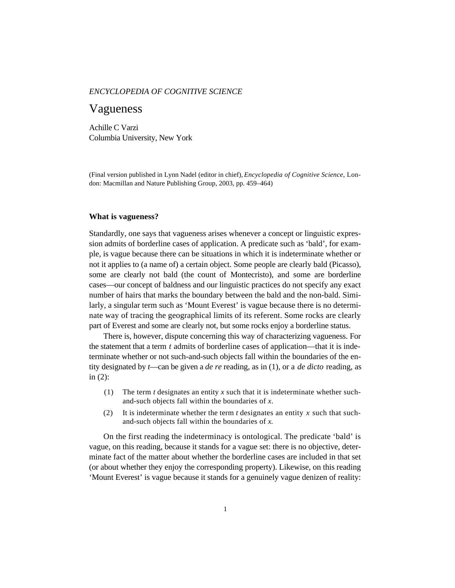# *ENCYCLOPEDIA OF COGNITIVE SCIENCE*

# Vagueness

Achille C Varzi Columbia University, New York

(Final version published in Lynn Nadel (editor in chief), *Encyclopedia of Cognitive Science*, London: Macmillan and Nature Publishing Group, 2003, pp. 459–464)

## **What is vagueness?**

Standardly, one says that vagueness arises whenever a concept or linguistic expression admits of borderline cases of application. A predicate such as 'bald', for example, is vague because there can be situations in which it is indeterminate whether or not it applies to (a name of) a certain object. Some people are clearly bald (Picasso), some are clearly not bald (the count of Montecristo), and some are borderline cases—our concept of baldness and our linguistic practices do not specify any exact number of hairs that marks the boundary between the bald and the non-bald. Similarly, a singular term such as 'Mount Everest' is vague because there is no determinate way of tracing the geographical limits of its referent. Some rocks are clearly part of Everest and some are clearly not, but some rocks enjoy a borderline status.

There is, however, dispute concerning this way of characterizing vagueness. For the statement that a term *t* admits of borderline cases of application—that it is indeterminate whether or not such-and-such objects fall within the boundaries of the entity designated by *t*—can be given a *de re* reading, as in (1), or a *de dicto* reading, as in (2):

- (1) The term *t* designates an entity *x* such that it is indeterminate whether suchand-such objects fall within the boundaries of *x*.
- (2) It is indeterminate whether the term *t* designates an entity *x* such that suchand-such objects fall within the boundaries of *x.*

On the first reading the indeterminacy is ontological. The predicate 'bald' is vague, on this reading, because it stands for a vague set: there is no objective, determinate fact of the matter about whether the borderline cases are included in that set (or about whether they enjoy the corresponding property). Likewise, on this reading 'Mount Everest' is vague because it stands for a genuinely vague denizen of reality: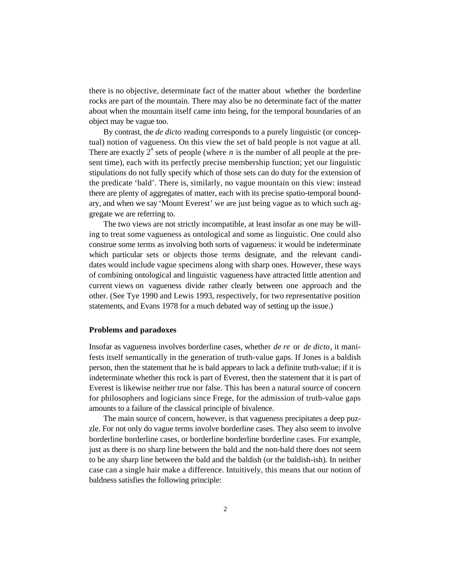there is no objective, determinate fact of the matter about whether the borderline rocks are part of the mountain. There may also be no determinate fact of the matter about when the mountain itself came into being, for the temporal boundaries of an object may be vague too.

By contrast, the *de dicto* reading corresponds to a purely linguistic (or conceptual) notion of vagueness. On this view the set of bald people is not vague at all. There are exactly  $2^n$  sets of people (where *n* is the number of all people at the present time), each with its perfectly precise membership function; yet our linguistic stipulations do not fully specify which of those sets can do duty for the extension of the predicate 'bald'. There is, similarly, no vague mountain on this view: instead there are plenty of aggregates of matter, each with its precise spatio-temporal boundary, and when we say 'Mount Everest' we are just being vague as to which such aggregate we are referring to.

The two views are not strictly incompatible, at least insofar as one may be willing to treat some vagueness as ontological and some as linguistic. One could also construe some terms as involving both sorts of vagueness: it would be indeterminate which particular sets or objects those terms designate, and the relevant candidates would include vague specimens along with sharp ones. However, these ways of combining ontological and linguistic vagueness have attracted little attention and current views on vagueness divide rather clearly between one approach and the other. (See Tye 1990 and Lewis 1993, respectively, for two representative position statements, and Evans 1978 for a much debated way of setting up the issue.)

## **Problems and paradoxes**

Insofar as vagueness involves borderline cases, whether *de re* or *de dicto*, it manifests itself semantically in the generation of truth-value gaps. If Jones is a baldish person, then the statement that he is bald appears to lack a definite truth-value; if it is indeterminate whether this rock is part of Everest, then the statement that it is part of Everest is likewise neither true nor false. This has been a natural source of concern for philosophers and logicians since Frege, for the admission of truth-value gaps amounts to a failure of the classical principle of bivalence.

The main source of concern, however, is that vagueness precipitates a deep puzzle. For not only do vague terms involve borderline cases. They also seem to involve borderline borderline cases, or borderline borderline borderline cases. For example, just as there is no sharp line between the bald and the non-bald there does not seem to be any sharp line between the bald and the baldish (or the baldish-ish). In neither case can a single hair make a difference. Intuitively, this means that our notion of baldness satisfies the following principle: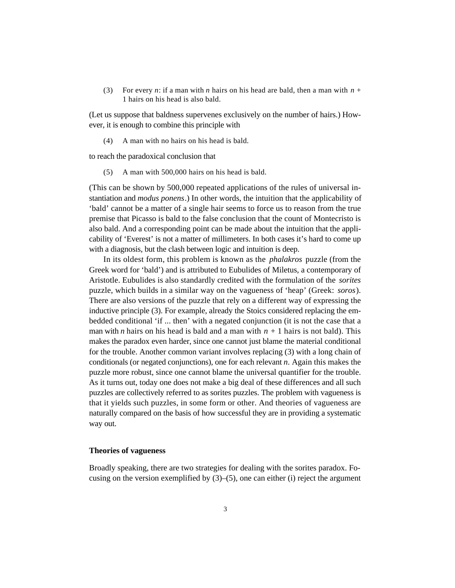(3) For every *n*: if a man with *n* hairs on his head are bald, then a man with *n* + 1 hairs on his head is also bald.

(Let us suppose that baldness supervenes exclusively on the number of hairs.) However, it is enough to combine this principle with

(4) A man with no hairs on his head is bald.

to reach the paradoxical conclusion that

(5) A man with 500,000 hairs on his head is bald.

(This can be shown by 500,000 repeated applications of the rules of universal instantiation and *modus ponens*.) In other words, the intuition that the applicability of 'bald' cannot be a matter of a single hair seems to force us to reason from the true premise that Picasso is bald to the false conclusion that the count of Montecristo is also bald. And a corresponding point can be made about the intuition that the applicability of 'Everest' is not a matter of millimeters. In both cases it's hard to come up with a diagnosis, but the clash between logic and intuition is deep.

In its oldest form, this problem is known as the *phalakros* puzzle (from the Greek word for 'bald') and is attributed to Eubulides of Miletus, a contemporary of Aristotle. Eubulides is also standardly credited with the formulation of the *sorites* puzzle, which builds in a similar way on the vagueness of 'heap' (Greek: *soros*). There are also versions of the puzzle that rely on a different way of expressing the inductive principle (3). For example, already the Stoics considered replacing the embedded conditional 'if ... then' with a negated conjunction (it is not the case that a man with *n* hairs on his head is bald and a man with  $n + 1$  hairs is not bald). This makes the paradox even harder, since one cannot just blame the material conditional for the trouble. Another common variant involves replacing (3) with a long chain of conditionals (or negated conjunctions), one for each relevant *n*. Again this makes the puzzle more robust, since one cannot blame the universal quantifier for the trouble. As it turns out, today one does not make a big deal of these differences and all such puzzles are collectively referred to as sorites puzzles. The problem with vagueness is that it yields such puzzles, in some form or other. And theories of vagueness are naturally compared on the basis of how successful they are in providing a systematic way out.

#### **Theories of vagueness**

Broadly speaking, there are two strategies for dealing with the sorites paradox. Focusing on the version exemplified by  $(3)$ – $(5)$ , one can either (i) reject the argument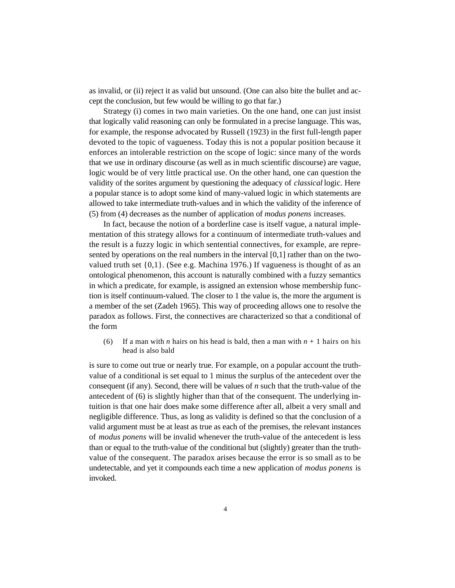as invalid, or (ii) reject it as valid but unsound. (One can also bite the bullet and accept the conclusion, but few would be willing to go that far.)

Strategy (i) comes in two main varieties. On the one hand, one can just insist that logically valid reasoning can only be formulated in a precise language. This was, for example, the response advocated by Russell (1923) in the first full-length paper devoted to the topic of vagueness. Today this is not a popular position because it enforces an intolerable restriction on the scope of logic: since many of the words that we use in ordinary discourse (as well as in much scientific discourse) are vague, logic would be of very little practical use. On the other hand, one can question the validity of the sorites argument by questioning the adequacy of *classical* logic. Here a popular stance is to adopt some kind of many-valued logic in which statements are allowed to take intermediate truth-values and in which the validity of the inference of (5) from (4) decreases as the number of application of *modus ponens* increases.

In fact, because the notion of a borderline case is itself vague, a natural implementation of this strategy allows for a continuum of intermediate truth-values and the result is a fuzzy logic in which sentential connectives, for example, are represented by operations on the real numbers in the interval [0,1] rather than on the twovalued truth set {0,1}. (See e.g. Machina 1976.) If vagueness is thought of as an ontological phenomenon, this account is naturally combined with a fuzzy semantics in which a predicate, for example, is assigned an extension whose membership function is itself continuum-valued. The closer to 1 the value is, the more the argument is a member of the set (Zadeh 1965). This way of proceeding allows one to resolve the paradox as follows. First, the connectives are characterized so that a conditional of the form

(6) If a man with *n* hairs on his head is bald, then a man with  $n + 1$  hairs on his head is also bald

is sure to come out true or nearly true. For example, on a popular account the truthvalue of a conditional is set equal to 1 minus the surplus of the antecedent over the consequent (if any). Second, there will be values of *n* such that the truth-value of the antecedent of (6) is slightly higher than that of the consequent. The underlying intuition is that one hair does make some difference after all, albeit a very small and negligible difference. Thus, as long as validity is defined so that the conclusion of a valid argument must be at least as true as each of the premises, the relevant instances of *modus ponens* will be invalid whenever the truth-value of the antecedent is less than or equal to the truth-value of the conditional but (slightly) greater than the truthvalue of the consequent. The paradox arises because the error is so small as to be undetectable, and yet it compounds each time a new application of *modus ponens* is invoked.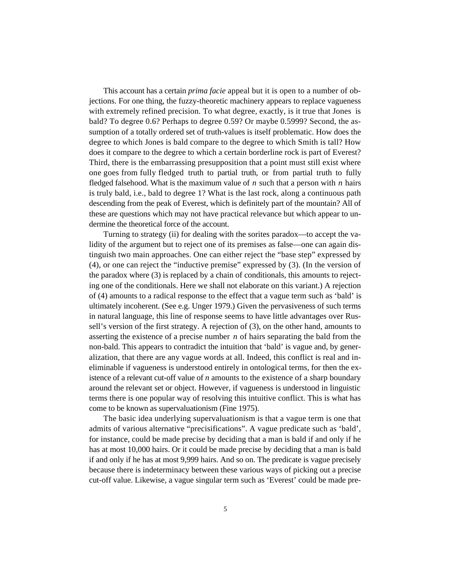This account has a certain *prima facie* appeal but it is open to a number of objections. For one thing, the fuzzy-theoretic machinery appears to replace vagueness with extremely refined precision. To what degree, exactly, is it true that Jones is bald? To degree 0.6? Perhaps to degree 0.59? Or maybe 0.5999? Second, the assumption of a totally ordered set of truth-values is itself problematic. How does the degree to which Jones is bald compare to the degree to which Smith is tall? How does it compare to the degree to which a certain borderline rock is part of Everest? Third, there is the embarrassing presupposition that a point must still exist where one goes from fully fledged truth to partial truth, or from partial truth to fully fledged falsehood. What is the maximum value of *n* such that a person with *n* hairs is truly bald, i.e., bald to degree 1? What is the last rock, along a continuous path descending from the peak of Everest, which is definitely part of the mountain? All of these are questions which may not have practical relevance but which appear to undermine the theoretical force of the account.

Turning to strategy (ii) for dealing with the sorites paradox—to accept the validity of the argument but to reject one of its premises as false—one can again distinguish two main approaches. One can either reject the "base step" expressed by (4), or one can reject the "inductive premise" expressed by (3). (In the version of the paradox where (3) is replaced by a chain of conditionals, this amounts to rejecting one of the conditionals. Here we shall not elaborate on this variant.) A rejection of (4) amounts to a radical response to the effect that a vague term such as 'bald' is ultimately incoherent. (See e.g. Unger 1979.) Given the pervasiveness of such terms in natural language, this line of response seems to have little advantages over Russell's version of the first strategy. A rejection of (3), on the other hand, amounts to asserting the existence of a precise number *n* of hairs separating the bald from the non-bald. This appears to contradict the intuition that 'bald' is vague and, by generalization, that there are any vague words at all. Indeed, this conflict is real and ineliminable if vagueness is understood entirely in ontological terms, for then the existence of a relevant cut-off value of *n* amounts to the existence of a sharp boundary around the relevant set or object. However, if vagueness is understood in linguistic terms there is one popular way of resolving this intuitive conflict. This is what has come to be known as supervaluationism (Fine 1975).

The basic idea underlying supervaluationism is that a vague term is one that admits of various alternative "precisifications". A vague predicate such as 'bald', for instance, could be made precise by deciding that a man is bald if and only if he has at most 10,000 hairs. Or it could be made precise by deciding that a man is bald if and only if he has at most 9,999 hairs. And so on. The predicate is vague precisely because there is indeterminacy between these various ways of picking out a precise cut-off value. Likewise, a vague singular term such as 'Everest' could be made pre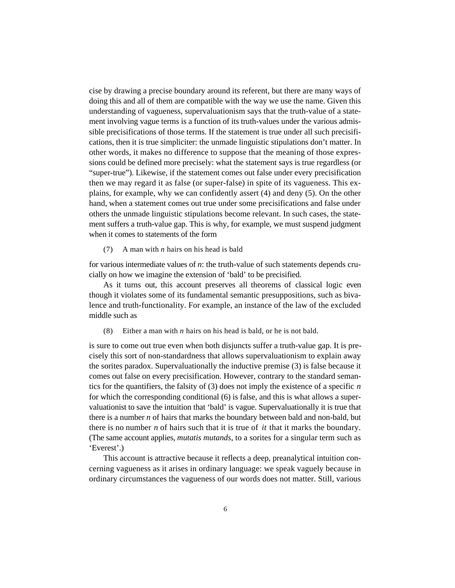cise by drawing a precise boundary around its referent, but there are many ways of doing this and all of them are compatible with the way we use the name. Given this understanding of vagueness, supervaluationism says that the truth-value of a statement involving vague terms is a function of its truth-values under the various admissible precisifications of those terms. If the statement is true under all such precisifications, then it is true simpliciter: the unmade linguistic stipulations don't matter. In other words, it makes no difference to suppose that the meaning of those expressions could be defined more precisely: what the statement says is true regardless (or "super-true"). Likewise, if the statement comes out false under every precisification then we may regard it as false (or super-false) in spite of its vagueness. This explains, for example, why we can confidently assert (4) and deny (5). On the other hand, when a statement comes out true under some precisifications and false under others the unmade linguistic stipulations become relevant. In such cases, the statement suffers a truth-value gap. This is why, for example, we must suspend judgment when it comes to statements of the form

(7) A man with *n* hairs on his head is bald

for various intermediate values of *n*: the truth-value of such statements depends crucially on how we imagine the extension of 'bald' to be precisified.

As it turns out, this account preserves all theorems of classical logic even though it violates some of its fundamental semantic presuppositions, such as bivalence and truth-functionality. For example, an instance of the law of the excluded middle such as

(8) Either a man with *n* hairs on his head is bald, or he is not bald.

is sure to come out true even when both disjuncts suffer a truth-value gap. It is precisely this sort of non-standardness that allows supervaluationism to explain away the sorites paradox. Supervaluationally the inductive premise (3) is false because it comes out false on every precisification. However, contrary to the standard semantics for the quantifiers, the falsity of (3) does not imply the existence of a specific *n* for which the corresponding conditional (6) is false, and this is what allows a supervaluationist to save the intuition that 'bald' is vague. Supervaluationally it is true that there is a number *n* of hairs that marks the boundary between bald and non-bald, but there is no number *n* of hairs such that it is true of *it* that it marks the boundary. (The same account applies, *mutatis mutands*, to a sorites for a singular term such as 'Everest'.)

This account is attractive because it reflects a deep, preanalytical intuition concerning vagueness as it arises in ordinary language: we speak vaguely because in ordinary circumstances the vagueness of our words does not matter. Still, various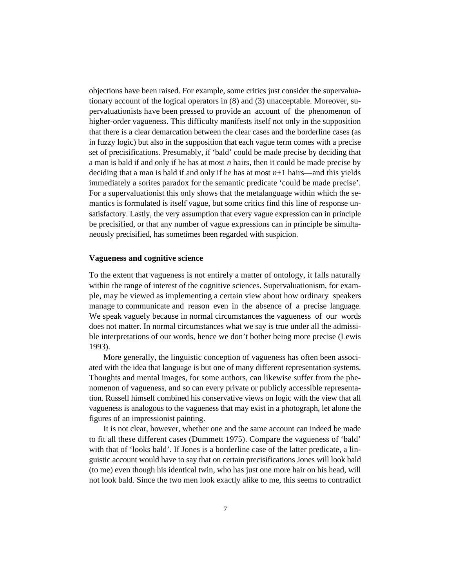objections have been raised. For example, some critics just consider the supervaluationary account of the logical operators in (8) and (3) unacceptable. Moreover, supervaluationists have been pressed to provide an account of the phenomenon of higher-order vagueness. This difficulty manifests itself not only in the supposition that there is a clear demarcation between the clear cases and the borderline cases (as in fuzzy logic) but also in the supposition that each vague term comes with a precise set of precisifications. Presumably, if 'bald' could be made precise by deciding that a man is bald if and only if he has at most *n* hairs, then it could be made precise by deciding that a man is bald if and only if he has at most  $n+1$  hairs—and this yields immediately a sorites paradox for the semantic predicate 'could be made precise'. For a supervaluationist this only shows that the metalanguage within which the semantics is formulated is itself vague, but some critics find this line of response unsatisfactory. Lastly, the very assumption that every vague expression can in principle be precisified, or that any number of vague expressions can in principle be simultaneously precisified, has sometimes been regarded with suspicion.

### **Vagueness and cognitive science**

To the extent that vagueness is not entirely a matter of ontology, it falls naturally within the range of interest of the cognitive sciences. Supervaluationism, for example, may be viewed as implementing a certain view about how ordinary speakers manage to communicate and reason even in the absence of a precise language. We speak vaguely because in normal circumstances the vagueness of our words does not matter. In normal circumstances what we say is true under all the admissible interpretations of our words, hence we don't bother being more precise (Lewis 1993).

More generally, the linguistic conception of vagueness has often been associated with the idea that language is but one of many different representation systems. Thoughts and mental images, for some authors, can likewise suffer from the phenomenon of vagueness, and so can every private or publicly accessible representation. Russell himself combined his conservative views on logic with the view that all vagueness is analogous to the vagueness that may exist in a photograph, let alone the figures of an impressionist painting.

It is not clear, however, whether one and the same account can indeed be made to fit all these different cases (Dummett 1975). Compare the vagueness of 'bald' with that of 'looks bald'. If Jones is a borderline case of the latter predicate, a linguistic account would have to say that on certain precisifications Jones will look bald (to me) even though his identical twin, who has just one more hair on his head, will not look bald. Since the two men look exactly alike to me, this seems to contradict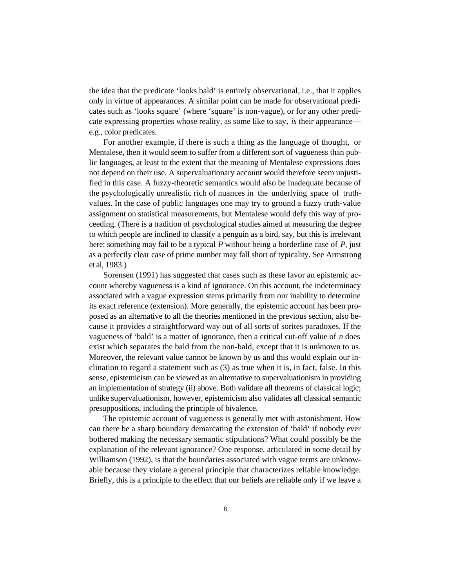the idea that the predicate 'looks bald' is entirely observational, i.e., that it applies only in virtue of appearances. A similar point can be made for observational predicates such as 'looks square' (where 'square' is non-vague), or for any other predicate expressing properties whose reality, as some like to say, *is* their appearance e.g., color predicates.

For another example, if there is such a thing as the language of thought, or Mentalese, then it would seem to suffer from a different sort of vagueness than public languages, at least to the extent that the meaning of Mentalese expressions does not depend on their use. A supervaluationary account would therefore seem unjustified in this case. A fuzzy-theoretic semantics would also be inadequate because of the psychologically unrealistic rich of nuances in the underlying space of truthvalues. In the case of public languages one may try to ground a fuzzy truth-value assignment on statistical measurements, but Mentalese would defy this way of proceeding. (There is a tradition of psychological studies aimed at measuring the degree to which people are inclined to classify a penguin as a bird, say, but this is irrelevant here: something may fail to be a typical *P* without being a borderline case of *P*, just as a perfectly clear case of prime number may fall short of typicality. See Armstrong et al, 1983.)

Sorensen (1991) has suggested that cases such as these favor an epistemic account whereby vagueness is a kind of ignorance. On this account, the indeterminacy associated with a vague expression stems primarily from our inability to determine its exact reference (extension). More generally, the epistemic account has been proposed as an alternative to all the theories mentioned in the previous section, also because it provides a straightforward way out of all sorts of sorites paradoxes. If the vagueness of 'bald' is a matter of ignorance, then a critical cut-off value of *n* does exist which separates the bald from the non-bald, except that it is unknown to us. Moreover, the relevant value cannot be known by us and this would explain our inclination to regard a statement such as (3) as true when it is, in fact, false. In this sense, epistemicism can be viewed as an alternative to supervaluationism in providing an implementation of strategy (ii) above. Both validate all theorems of classical logic; unlike supervaluationism, however, epistemicism also validates all classical semantic presuppositions, including the principle of bivalence.

The epistemic account of vagueness is generally met with astonishment. How can there be a sharp boundary demarcating the extension of 'bald' if nobody ever bothered making the necessary semantic stipulations? What could possibly be the explanation of the relevant ignorance? One response, articulated in some detail by Williamson (1992), is that the boundaries associated with vague terms are unknowable because they violate a general principle that characterizes reliable knowledge. Briefly, this is a principle to the effect that our beliefs are reliable only if we leave a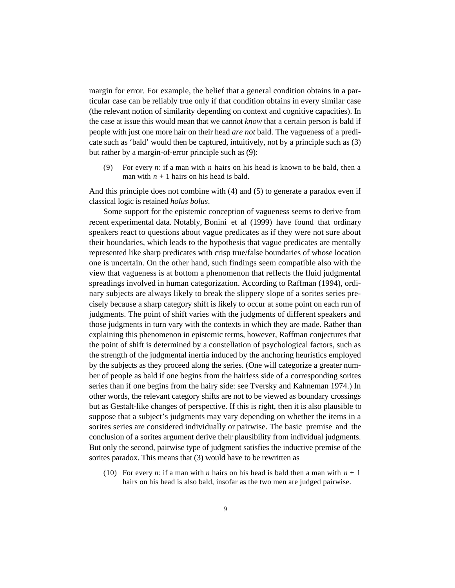margin for error. For example, the belief that a general condition obtains in a particular case can be reliably true only if that condition obtains in every similar case (the relevant notion of similarity depending on context and cognitive capacities). In the case at issue this would mean that we cannot *know* that a certain person is bald if people with just one more hair on their head *are not* bald. The vagueness of a predicate such as 'bald' would then be captured, intuitively, not by a principle such as (3) but rather by a margin-of-error principle such as (9):

(9) For every *n*: if a man with *n* hairs on his head is known to be bald, then a man with  $n + 1$  hairs on his head is bald.

And this principle does not combine with (4) and (5) to generate a paradox even if classical logic is retained *holus bolus*.

Some support for the epistemic conception of vagueness seems to derive from recent experimental data. Notably, Bonini et al (1999) have found that ordinary speakers react to questions about vague predicates as if they were not sure about their boundaries, which leads to the hypothesis that vague predicates are mentally represented like sharp predicates with crisp true/false boundaries of whose location one is uncertain. On the other hand, such findings seem compatible also with the view that vagueness is at bottom a phenomenon that reflects the fluid judgmental spreadings involved in human categorization. According to Raffman (1994), ordinary subjects are always likely to break the slippery slope of a sorites series precisely because a sharp category shift is likely to occur at some point on each run of judgments. The point of shift varies with the judgments of different speakers and those judgments in turn vary with the contexts in which they are made. Rather than explaining this phenomenon in epistemic terms, however, Raffman conjectures that the point of shift is determined by a constellation of psychological factors, such as the strength of the judgmental inertia induced by the anchoring heuristics employed by the subjects as they proceed along the series. (One will categorize a greater number of people as bald if one begins from the hairless side of a corresponding sorites series than if one begins from the hairy side: see Tversky and Kahneman 1974.) In other words, the relevant category shifts are not to be viewed as boundary crossings but as Gestalt-like changes of perspective. If this is right, then it is also plausible to suppose that a subject's judgments may vary depending on whether the items in a sorites series are considered individually or pairwise. The basic premise and the conclusion of a sorites argument derive their plausibility from individual judgments. But only the second, pairwise type of judgment satisfies the inductive premise of the sorites paradox. This means that (3) would have to be rewritten as

(10) For every *n*: if a man with *n* hairs on his head is bald then a man with  $n + 1$ hairs on his head is also bald, insofar as the two men are judged pairwise.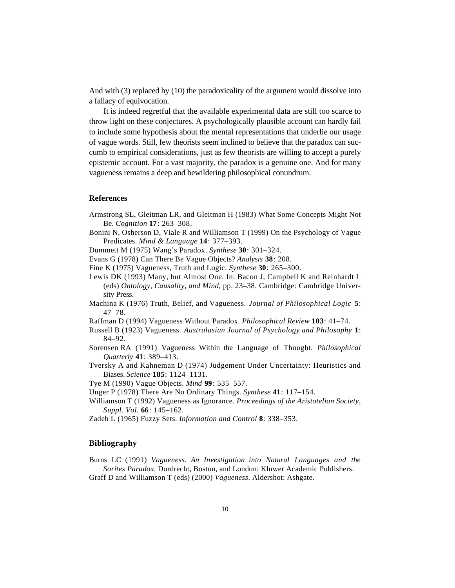And with (3) replaced by (10) the paradoxicality of the argument would dissolve into a fallacy of equivocation.

It is indeed regretful that the available experimental data are still too scarce to throw light on these conjectures. A psychologically plausible account can hardly fail to include some hypothesis about the mental representations that underlie our usage of vague words. Still, few theorists seem inclined to believe that the paradox can succumb to empirical considerations, just as few theorists are willing to accept a purely epistemic account. For a vast majority, the paradox is a genuine one. And for many vagueness remains a deep and bewildering philosophical conundrum.

#### **References**

- Armstrong SL, Gleitman LR, and Gleitman H (1983) What Some Concepts Might Not Be. *Cognition* **17**: 263–308.
- Bonini N, Osherson D, Viale R and Williamson T (1999) On the Psychology of Vague Predicates. *Mind & Language* **14**: 377–393.

Dummett M (1975) Wang's Paradox. *Synthese* **30**: 301–324.

Evans G (1978) Can There Be Vague Objects? *Analysis* **38**: 208.

Fine K (1975) Vagueness, Truth and Logic. *Synthese* **30**: 265–300.

- Lewis DK (1993) Many, but Almost One. In: Bacon J, Campbell K and Reinhardt L (eds) *Ontology, Causality, and Mind*, pp. 23–38. Cambridge: Cambridge University Press.
- Machina K (1976) Truth, Belief, and Vagueness. *Journal of Philosophical Logic* **5**: 47–78.
- Raffman D (1994) Vagueness Without Paradox. *Philosophical Review* **103**: 41–74.
- Russell B (1923) Vagueness. *Australasian Journal of Psychology and Philosophy* **1**: 84–92.
- Sorensen RA (1991) Vagueness Within the Language of Thought. *Philosophical Quarterly* **41**: 389–413.
- Tversky A and Kahneman D (1974) Judgement Under Uncertainty: Heuristics and Biases. *Science* **185**: 1124–1131.
- Tye M (1990) Vague Objects. *Mind* **99**: 535–557.
- Unger P (1978) There Are No Ordinary Things. *Synthese* **41**: 117–154.
- Williamson T (1992) Vagueness as Ignorance. *Proceedings of the Aristotelian Society, Suppl. Vol.* **66**: 145–162.
- Zadeh L (1965) Fuzzy Sets. *Information and Control* **8**: 338–353.

## **Bibliography**

Burns LC (1991) *Vagueness. An Investigation into Natural Languages and the Sorites Paradox*. Dordrecht, Boston, and London: Kluwer Academic Publishers. Graff D and Williamson T (eds) (2000) *Vagueness*. Aldershot: Ashgate.